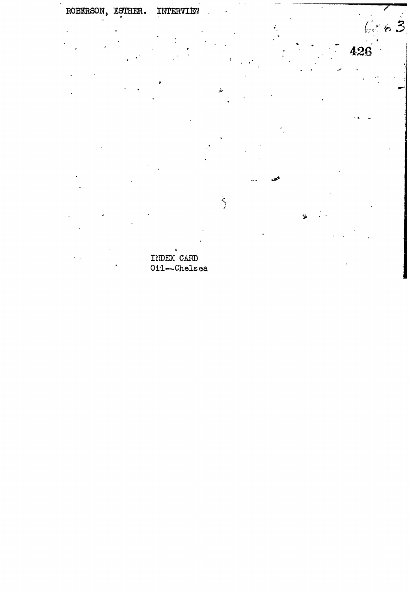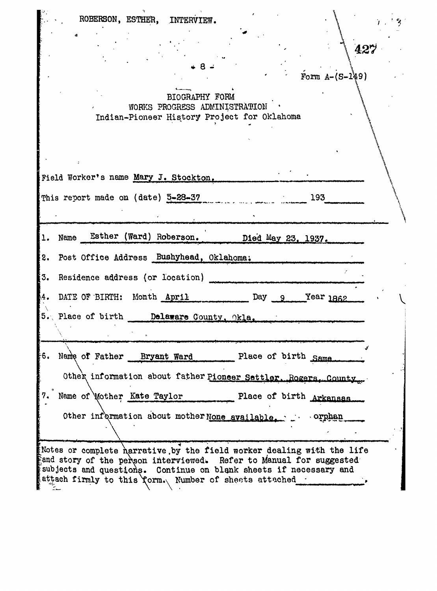| ROBERSON, ESTHER, INTERVIEW.                                                                                                                                                                                                                                                          |  |
|---------------------------------------------------------------------------------------------------------------------------------------------------------------------------------------------------------------------------------------------------------------------------------------|--|
| 427                                                                                                                                                                                                                                                                                   |  |
| Form $A - (S - 149)$                                                                                                                                                                                                                                                                  |  |
| BIOGRAPHY FORM<br>WORKS PROGRESS ADMINISTRATION<br>Indian-Pioneer History Project for Oklahoma                                                                                                                                                                                        |  |
|                                                                                                                                                                                                                                                                                       |  |
| Field Worker's name Mary J. Stockton.                                                                                                                                                                                                                                                 |  |
| This report made on (date) 5-28-37<br>193                                                                                                                                                                                                                                             |  |
| Esther (Ward) Roberson.<br>Name<br>Died May 23, 1937.                                                                                                                                                                                                                                 |  |
| Post Office Address Bushyhead, Oklahoma,<br>2.                                                                                                                                                                                                                                        |  |
| Residence address (or location)<br>3.                                                                                                                                                                                                                                                 |  |
| DATE OF BIRTH: Month April<br>Day $9$ Year $1862$                                                                                                                                                                                                                                     |  |
| 5. Place of birth Delaware County, Okla.                                                                                                                                                                                                                                              |  |
| Name of Father Bryant Ward<br>Place of birth Same.<br>6.                                                                                                                                                                                                                              |  |
| Othek information about father Pioneer Settler, Rogers, County                                                                                                                                                                                                                        |  |
| Name of Mother Kate Taylor<br>Place of birth Arkansas                                                                                                                                                                                                                                 |  |
| Other information about mother None available.<br>crphan                                                                                                                                                                                                                              |  |
| Notes or complete harrative by the field worker dealing with the life<br>$\S$ and story of the person interviewed. Refer to Manual for suggested $\sim$<br>subjects and questions. Continue on blank sheets if necessary and<br>attach firmly to this Yorm. Number of sheets attached |  |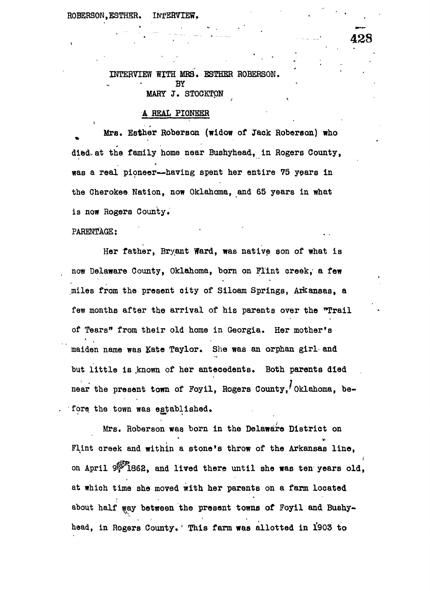## INTERVIEW WITH MRS. ESTHER ROBERSON. **BY** MARY J. STOCKTON

## A REAL PIONEER

 $\mathcal{L} = \mathcal{L} \times \mathcal{L} = \mathcal{L} \times \mathcal{L} = \mathcal{L} \times \mathcal{L} = \mathcal{L} \times \mathcal{L}$ 

Mrs. Esther Roberson (widow of Jack Roberson) who died, at the family home near Bushyhead, in Rogers County, m was a real pioneer  $\mathcal{L}$  , we are the spent her entire  $\mathcal{L}$  years in the spent her entire  $\mathcal{L}$ the Gherokee Nation, now Oklahoma, and 65 years in what is now Rogers County.

 $J$  x  $\sim$   $\sim$   $\sim$   $\sim$ 

## PARENTAGE: PARENTAGE: '

Her father, Bryant Ward, was native son of what is now Delaware County, Oklahoma, born on Flint creek/ a few miles from the present city of Siloam Springs, Arkansas, a few months after the arrival of  $\mathbf{r}$  and  $\mathbf{r}$  arrives over the  $\mathbf{r}$ of Tears" from their old home in Georgia. Her mother's maiden name was Kate Taylor. She was an orphan girl- and  $\mathbf{b}$  is the distribution of  $\mathbf{b}$ near the present town of Foyil, Rogers County, Oklahoma, before the town was established,

Mrs. Roberson was born in the Delaware District on \* «•  $\mathbf{F}$  flint can within a stone throw of the Arkansas line,  $\mathbf{F}$ on April 9. 1862, and lived there until she was ten years old, at which time she moved with her parents on a farm located with her parents on a farm located with her parents on a farm located with  $\frac{1}{\sqrt{2}}$ about half way between the present towns of Foyil and Bushyhead, in Rogers County. This farm was allotted in 1903 to

:  $428$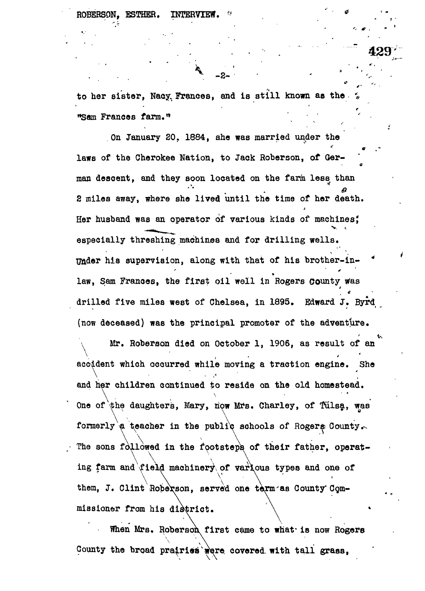to her sister, Nacy Frances, and is still known as the "Sam Frances farm."

. . . \* -2- " ' v

. The set of the set of the set of  $429'$ 

On January 20. 1884, she was married under the laws of the Cherokee Nation, to Jack Roberson, of German descent, and they soon located on the farm less than 2 miles away, where she lived until the time of her death. Her husband was an operator of various kinds of machines; especially threshing machines and for drilling wells. Under his supervision, along with that of his brother-in-\* raw, Sam Frances, and first oir were in Bore compating e drilled five miles west of Chelsea, in 1895. Edward J. Byrd (now deceased) was the principal promoter of the adventure.

Mr. Roberson died on October 1, 1906, as result of an accident which occurred while moving a traction engine. She and her children continued to reside on the old homestead. One of the daughters, Mary, now Mrs. Charley, of Tulsa, was formerly a teacher in the public schools of Rogers County. The sons followed in the footsteps of their father, operat- $\lambda$   $\lambda$   $\lambda$   $\lambda$   $\lambda$   $\lambda$   $\lambda$ ing farm and field machinery of various types and one of \ \ \ \ them,  $J$ . Clint Hoberson, served one term as County Commissioner from his district.

When Mrs. Roberson first came to what is now Rogers County the broad prairies were covered with tall grass,